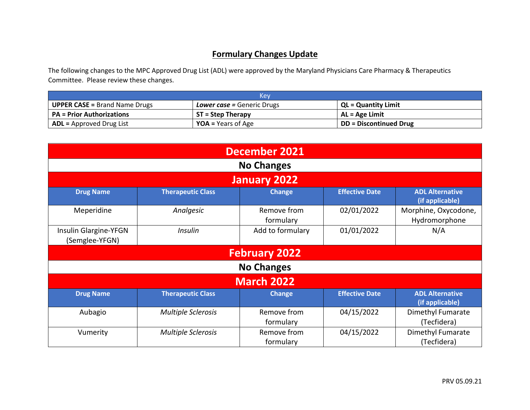## **Formulary Changes Update**

The following changes to the MPC Approved Drug List (ADL) were approved by the Maryland Physicians Care Pharmacy & Therapeutics Committee. Please review these changes.

| Kev                                  |                            |                               |  |  |
|--------------------------------------|----------------------------|-------------------------------|--|--|
| <b>UPPER CASE = Brand Name Drugs</b> | Lower case = Generic Drugs | <b>QL = Quantity Limit</b>    |  |  |
| <b>PA</b> = Prior Authorizations     | <b>ST = Step Therapy</b>   | AL = Age Limit                |  |  |
| $ADL =$ Approved Drug List           | <b>YOA</b> = Years of Age  | <b>DD</b> = Discontinued Drug |  |  |

| <b>December 2021</b>                    |                           |                          |                       |                                           |  |
|-----------------------------------------|---------------------------|--------------------------|-----------------------|-------------------------------------------|--|
|                                         | <b>No Changes</b>         |                          |                       |                                           |  |
|                                         |                           | January 2022             |                       |                                           |  |
| <b>Drug Name</b>                        | <b>Therapeutic Class</b>  | <b>Change</b>            | <b>Effective Date</b> | <b>ADL Alternative</b><br>(if applicable) |  |
| Meperidine                              | Analgesic                 | Remove from<br>formulary | 02/01/2022            | Morphine, Oxycodone,<br>Hydromorphone     |  |
| Insulin Glargine-YFGN<br>(Semglee-YFGN) | <b>Insulin</b>            | Add to formulary         | 01/01/2022            | N/A                                       |  |
|                                         | <b>February 2022</b>      |                          |                       |                                           |  |
| <b>No Changes</b>                       |                           |                          |                       |                                           |  |
| <b>March 2022</b>                       |                           |                          |                       |                                           |  |
| <b>Drug Name</b>                        | <b>Therapeutic Class</b>  | <b>Change</b>            | <b>Effective Date</b> | <b>ADL Alternative</b><br>(if applicable) |  |
| Aubagio                                 | <b>Multiple Sclerosis</b> | Remove from<br>formulary | 04/15/2022            | Dimethyl Fumarate<br>(Tecfidera)          |  |
| Vumerity                                | <b>Multiple Sclerosis</b> | Remove from<br>formulary | 04/15/2022            | Dimethyl Fumarate<br>(Tecfidera)          |  |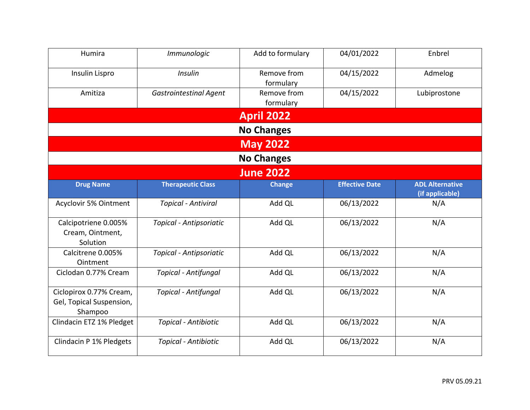| Humira                                                         | Immunologic                   | Add to formulary         | 04/01/2022            | Enbrel                                    |
|----------------------------------------------------------------|-------------------------------|--------------------------|-----------------------|-------------------------------------------|
| Insulin Lispro                                                 | <b>Insulin</b>                | Remove from<br>formulary | 04/15/2022            | Admelog                                   |
| Amitiza                                                        | <b>Gastrointestinal Agent</b> | Remove from<br>formulary | 04/15/2022            | Lubiprostone                              |
|                                                                |                               | <b>April 2022</b>        |                       |                                           |
|                                                                |                               | <b>No Changes</b>        |                       |                                           |
|                                                                |                               | <b>May 2022</b>          |                       |                                           |
|                                                                |                               | <b>No Changes</b>        |                       |                                           |
|                                                                |                               | <b>June 2022</b>         |                       |                                           |
| <b>Drug Name</b>                                               | <b>Therapeutic Class</b>      | <b>Change</b>            | <b>Effective Date</b> | <b>ADL Alternative</b><br>(if applicable) |
| Acyclovir 5% Ointment                                          | <b>Topical - Antiviral</b>    | Add QL                   | 06/13/2022            | N/A                                       |
| Calcipotriene 0.005%<br>Cream, Ointment,<br>Solution           | Topical - Antipsoriatic       | Add QL                   | 06/13/2022            | N/A                                       |
| Calcitrene 0.005%<br>Ointment                                  | Topical - Antipsoriatic       | Add QL                   | 06/13/2022            | N/A                                       |
| Ciclodan 0.77% Cream                                           | Topical - Antifungal          | Add QL                   | 06/13/2022            | N/A                                       |
| Ciclopirox 0.77% Cream,<br>Gel, Topical Suspension,<br>Shampoo | <b>Topical - Antifungal</b>   | Add QL                   | 06/13/2022            | N/A                                       |
| Clindacin ETZ 1% Pledget                                       | Topical - Antibiotic          | Add QL                   | 06/13/2022            | N/A                                       |
| Clindacin P 1% Pledgets                                        | Topical - Antibiotic          | Add QL                   | 06/13/2022            | N/A                                       |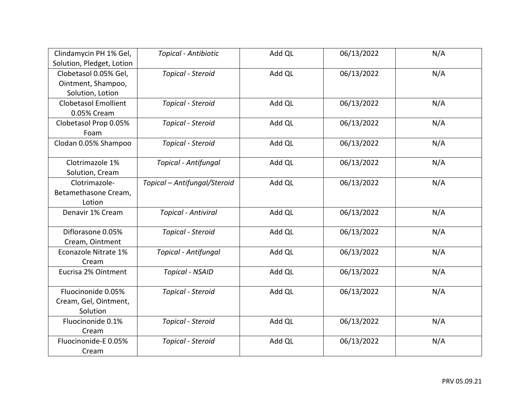| Clindamycin PH 1% Gel,      | <b>Topical - Antibiotic</b>  | Add QL | 06/13/2022 | N/A |
|-----------------------------|------------------------------|--------|------------|-----|
| Solution, Pledget, Lotion   |                              |        |            |     |
| Clobetasol 0.05% Gel,       | Topical - Steroid            | Add QL | 06/13/2022 | N/A |
| Ointment, Shampoo,          |                              |        |            |     |
| Solution, Lotion            |                              |        |            |     |
| <b>Clobetasol Emollient</b> | Topical - Steroid            | Add QL | 06/13/2022 | N/A |
| 0.05% Cream                 |                              |        |            |     |
| Clobetasol Prop 0.05%       | Topical - Steroid            | Add QL | 06/13/2022 | N/A |
| Foam                        |                              |        |            |     |
| Clodan 0.05% Shampoo        | Topical - Steroid            | Add QL | 06/13/2022 | N/A |
|                             |                              |        |            |     |
| Clotrimazole 1%             | Topical - Antifungal         | Add QL | 06/13/2022 | N/A |
| Solution, Cream             |                              |        |            |     |
| Clotrimazole-               | Topical - Antifungal/Steroid | Add QL | 06/13/2022 | N/A |
| Betamethasone Cream,        |                              |        |            |     |
| Lotion                      |                              |        |            |     |
| Denavir 1% Cream            | <b>Topical - Antiviral</b>   | Add QL | 06/13/2022 | N/A |
|                             |                              |        |            |     |
| Diflorasone 0.05%           | Topical - Steroid            | Add QL | 06/13/2022 | N/A |
| Cream, Ointment             |                              |        |            |     |
| Econazole Nitrate 1%        | Topical - Antifungal         | Add QL | 06/13/2022 | N/A |
| Cream                       |                              |        |            |     |
| Eucrisa 2% Ointment         | <b>Topical - NSAID</b>       | Add QL | 06/13/2022 | N/A |
|                             |                              |        |            |     |
| Fluocinonide 0.05%          | Topical - Steroid            | Add QL | 06/13/2022 | N/A |
| Cream, Gel, Ointment,       |                              |        |            |     |
| Solution                    |                              |        |            |     |
| Fluocinonide 0.1%           | Topical - Steroid            | Add QL | 06/13/2022 | N/A |
| Cream                       |                              |        |            |     |
| Fluocinonide-E 0.05%        | Topical - Steroid            | Add QL | 06/13/2022 | N/A |
| Cream                       |                              |        |            |     |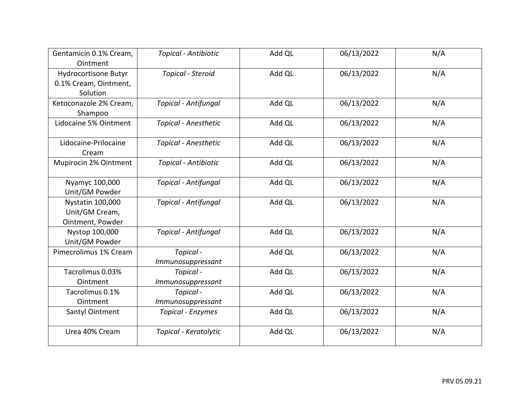| Gentamicin 0.1% Cream,<br>Ointment                        | Topical - Antibiotic           | Add QL | 06/13/2022 | N/A |
|-----------------------------------------------------------|--------------------------------|--------|------------|-----|
| Hydrocortisone Butyr<br>0.1% Cream, Ointment,<br>Solution | Topical - Steroid              | Add QL | 06/13/2022 | N/A |
| Ketoconazole 2% Cream,<br>Shampoo                         | <b>Topical - Antifungal</b>    | Add QL | 06/13/2022 | N/A |
| Lidocaine 5% Ointment                                     | <b>Topical - Anesthetic</b>    | Add QL | 06/13/2022 | N/A |
| Lidocaine-Prilocaine<br>Cream                             | <b>Topical - Anesthetic</b>    | Add QL | 06/13/2022 | N/A |
| Mupirocin 2% Ointment                                     | Topical - Antibiotic           | Add QL | 06/13/2022 | N/A |
| Nyamyc 100,000<br>Unit/GM Powder                          | <b>Topical - Antifungal</b>    | Add QL | 06/13/2022 | N/A |
| Nystatin 100,000<br>Unit/GM Cream,<br>Ointment, Powder    | <b>Topical - Antifungal</b>    | Add QL | 06/13/2022 | N/A |
| Nystop 100,000<br>Unit/GM Powder                          | <b>Topical - Antifungal</b>    | Add QL | 06/13/2022 | N/A |
| Pimecrolimus 1% Cream                                     | Topical -<br>Immunosuppressant | Add QL | 06/13/2022 | N/A |
| Tacrolimus 0.03%<br>Ointment                              | Topical -<br>Immunosuppressant | Add QL | 06/13/2022 | N/A |
| Tacrolimus 0.1%<br>Ointment                               | Topical -<br>Immunosuppressant | Add QL | 06/13/2022 | N/A |
| Santyl Ointment                                           | <b>Topical - Enzymes</b>       | Add QL | 06/13/2022 | N/A |
| Urea 40% Cream                                            | Topical - Keratolytic          | Add QL | 06/13/2022 | N/A |